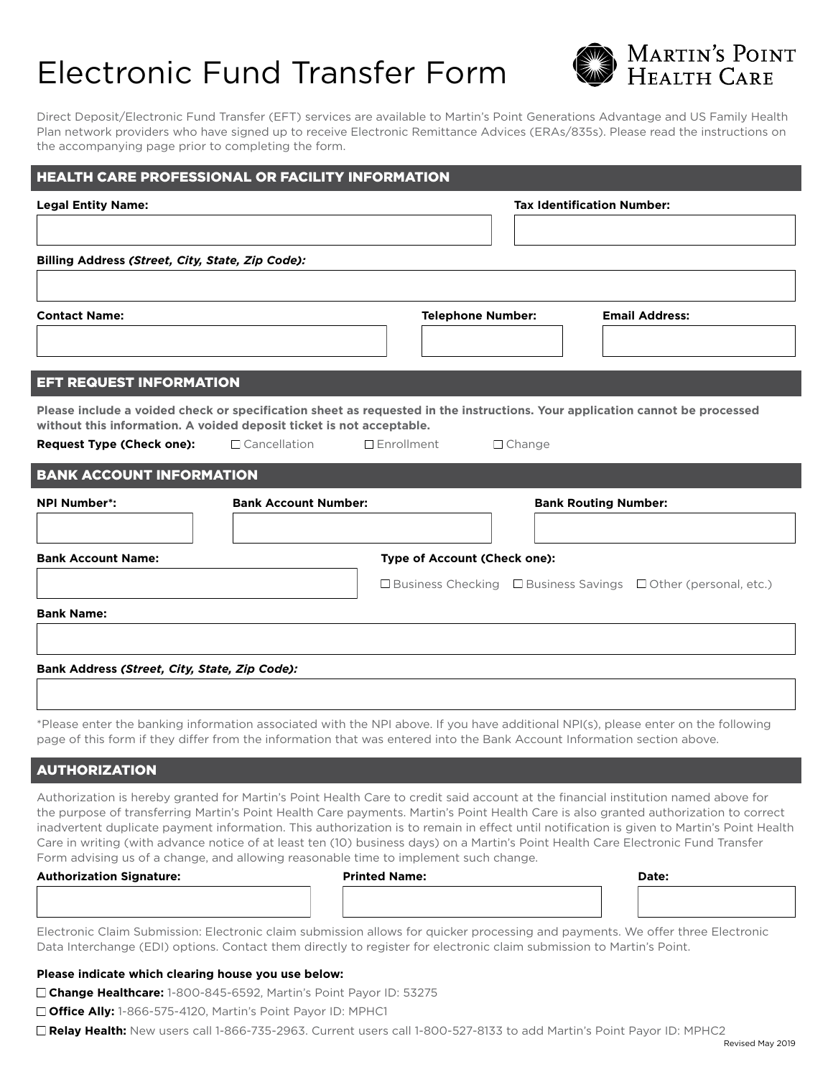# Electronic Fund Transfer Form



Direct Deposit/Electronic Fund Transfer (EFT) services are available to Martin's Point Generations Advantage and US Family Health Plan network providers who have signed up to receive Electronic Remittance Advices (ERAs/835s). Please read the instructions on the accompanying page prior to completing the form.

| <b>HEALTH CARE PROFESSIONAL OR FACILITY INFORMATION</b>                                                                                                                                                                                                      |                             |                              |                                   |                                                                                                                                                                                                                                                                                   |  |  |
|--------------------------------------------------------------------------------------------------------------------------------------------------------------------------------------------------------------------------------------------------------------|-----------------------------|------------------------------|-----------------------------------|-----------------------------------------------------------------------------------------------------------------------------------------------------------------------------------------------------------------------------------------------------------------------------------|--|--|
| <b>Legal Entity Name:</b>                                                                                                                                                                                                                                    |                             |                              | <b>Tax Identification Number:</b> |                                                                                                                                                                                                                                                                                   |  |  |
|                                                                                                                                                                                                                                                              |                             |                              |                                   |                                                                                                                                                                                                                                                                                   |  |  |
| Billing Address (Street, City, State, Zip Code):                                                                                                                                                                                                             |                             |                              |                                   |                                                                                                                                                                                                                                                                                   |  |  |
|                                                                                                                                                                                                                                                              |                             |                              |                                   |                                                                                                                                                                                                                                                                                   |  |  |
| <b>Contact Name:</b>                                                                                                                                                                                                                                         |                             | <b>Telephone Number:</b>     |                                   | <b>Email Address:</b>                                                                                                                                                                                                                                                             |  |  |
|                                                                                                                                                                                                                                                              |                             |                              |                                   |                                                                                                                                                                                                                                                                                   |  |  |
| <b>EFT REQUEST INFORMATION</b>                                                                                                                                                                                                                               |                             |                              |                                   |                                                                                                                                                                                                                                                                                   |  |  |
| Please include a voided check or specification sheet as requested in the instructions. Your application cannot be processed                                                                                                                                  |                             |                              |                                   |                                                                                                                                                                                                                                                                                   |  |  |
| without this information. A voided deposit ticket is not acceptable.<br>$\Box$ Cancellation<br><b>Request Type (Check one):</b>                                                                                                                              |                             | $\Box$ Enrollment            | $\Box$ Change                     |                                                                                                                                                                                                                                                                                   |  |  |
| <b>BANK ACCOUNT INFORMATION</b>                                                                                                                                                                                                                              |                             |                              |                                   |                                                                                                                                                                                                                                                                                   |  |  |
| <b>NPI Number*:</b>                                                                                                                                                                                                                                          | <b>Bank Account Number:</b> |                              | <b>Bank Routing Number:</b>       |                                                                                                                                                                                                                                                                                   |  |  |
|                                                                                                                                                                                                                                                              |                             |                              |                                   |                                                                                                                                                                                                                                                                                   |  |  |
| <b>Bank Account Name:</b>                                                                                                                                                                                                                                    |                             | Type of Account (Check one): |                                   |                                                                                                                                                                                                                                                                                   |  |  |
|                                                                                                                                                                                                                                                              |                             |                              |                                   | $\Box$ Business Checking $\Box$ Business Savings $\Box$ Other (personal, etc.)                                                                                                                                                                                                    |  |  |
| <b>Bank Name:</b>                                                                                                                                                                                                                                            |                             |                              |                                   |                                                                                                                                                                                                                                                                                   |  |  |
|                                                                                                                                                                                                                                                              |                             |                              |                                   |                                                                                                                                                                                                                                                                                   |  |  |
| Bank Address (Street, City, State, Zip Code):                                                                                                                                                                                                                |                             |                              |                                   |                                                                                                                                                                                                                                                                                   |  |  |
|                                                                                                                                                                                                                                                              |                             |                              |                                   |                                                                                                                                                                                                                                                                                   |  |  |
| *Please enter the banking information associated with the NPI above. If you have additional NPI(s), please enter on the following<br>page of this form if they differ from the information that was entered into the Bank Account Information section above. |                             |                              |                                   |                                                                                                                                                                                                                                                                                   |  |  |
| <b>AUTHORIZATION</b>                                                                                                                                                                                                                                         |                             |                              |                                   |                                                                                                                                                                                                                                                                                   |  |  |
| Authorization is hereby granted for Martin's Point Health Care to credit said account at the financial institution named above for                                                                                                                           |                             |                              |                                   |                                                                                                                                                                                                                                                                                   |  |  |
|                                                                                                                                                                                                                                                              |                             |                              |                                   | the purpose of transferring Martin's Point Health Care payments. Martin's Point Health Care is also granted authorization to correct<br>inadvertent duplicate payment information. This authorization is to remain in effect until notification is given to Martin's Point Health |  |  |
| Care in writing (with advance notice of at least ten (10) business days) on a Martin's Point Health Care Electronic Fund Transfer<br>Form advising us of a change, and allowing reasonable time to implement such change.                                    |                             |                              |                                   |                                                                                                                                                                                                                                                                                   |  |  |
| <b>Authorization Signature:</b>                                                                                                                                                                                                                              |                             | <b>Printed Name:</b>         |                                   | Date:                                                                                                                                                                                                                                                                             |  |  |
|                                                                                                                                                                                                                                                              |                             |                              |                                   |                                                                                                                                                                                                                                                                                   |  |  |
|                                                                                                                                                                                                                                                              |                             |                              |                                   |                                                                                                                                                                                                                                                                                   |  |  |

Electronic Claim Submission: Electronic claim submission allows for quicker processing and payments. We offer three Electronic Data Interchange (EDI) options. Contact them directly to register for electronic claim submission to Martin's Point.

### **Please indicate which clearing house you use below:**

**Change Healthcare:** 1-800-845-6592, Martin's Point Payor ID: 53275

□ **Office Ally:** 1-866-575-4120, Martin's Point Payor ID: MPHC1

**Relay Health:** New users call 1-866-735-2963. Current users call 1-800-527-8133 to add Martin's Point Payor ID: MPHC2